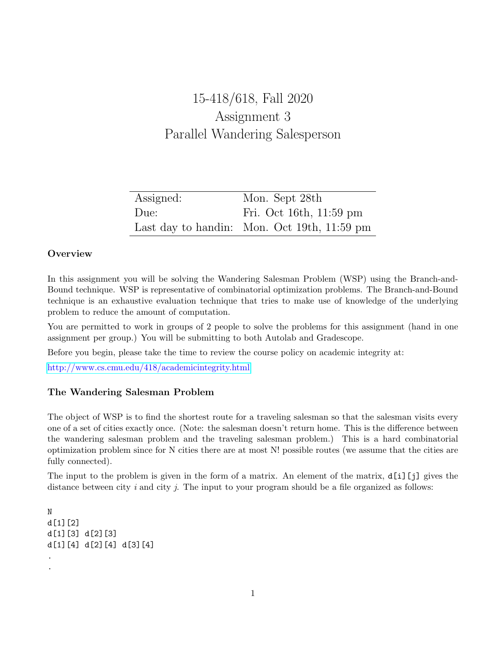# 15-418/618, Fall 2020 Assignment 3 Parallel Wandering Salesperson

| Assigned: | Mon. Sept 28th                                        |
|-----------|-------------------------------------------------------|
| Due:      | Fri. Oct 16th, 11:59 pm                               |
|           | Last day to handin: Mon. Oct 19th, $11:59 \text{ pm}$ |

### **Overview**

In this assignment you will be solving the Wandering Salesman Problem (WSP) using the Branch-and-Bound technique. WSP is representative of combinatorial optimization problems. The Branch-and-Bound technique is an exhaustive evaluation technique that tries to make use of knowledge of the underlying problem to reduce the amount of computation.

You are permitted to work in groups of 2 people to solve the problems for this assignment (hand in one assignment per group.) You will be submitting to both Autolab and Gradescope.

Before you begin, please take the time to review the course policy on academic integrity at:

[http://www.cs.cmu.edu/418/academicintegrity.html](http://www.cs.cmu.edu/afs/cs.cmu.edu/academic/class/15418-f20/www/academicintegrity.html)

## The Wandering Salesman Problem

The object of WSP is to find the shortest route for a traveling salesman so that the salesman visits every one of a set of cities exactly once. (Note: the salesman doesn't return home. This is the difference between the wandering salesman problem and the traveling salesman problem.) This is a hard combinatorial optimization problem since for N cities there are at most N! possible routes (we assume that the cities are fully connected).

The input to the problem is given in the form of a matrix. An element of the matrix, d[i][j] gives the distance between city  $i$  and city  $j$ . The input to your program should be a file organized as follows:

```
N
d[1][2]
d[1][3] d[2][3]
d[1][4] d[2][4] d[3][4]
.
.
```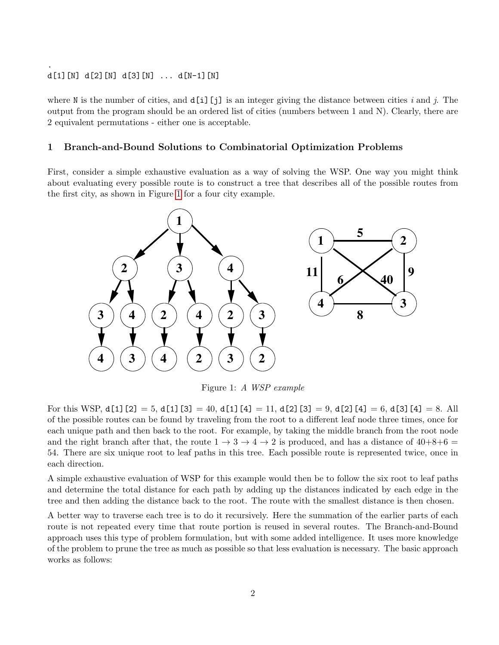### d[1][N] d[2][N] d[3][N] ... d[N-1][N]

.

where N is the number of cities, and  $d[i][i]$  is an integer giving the distance between cities i and j. The output from the program should be an ordered list of cities (numbers between 1 and N). Clearly, there are 2 equivalent permutations - either one is acceptable.

### 1 Branch-and-Bound Solutions to Combinatorial Optimization Problems

First, consider a simple exhaustive evaluation as a way of solving the WSP. One way you might think about evaluating every possible route is to construct a tree that describes all of the possible routes from the first city, as shown in Figure [1](#page-1-0) for a four city example.



<span id="page-1-0"></span>Figure 1: A WSP example

For this WSP,  $d[1][2] = 5$ ,  $d[1][3] = 40$ ,  $d[1][4] = 11$ ,  $d[2][3] = 9$ ,  $d[2][4] = 6$ ,  $d[3][4] = 8$ . All of the possible routes can be found by traveling from the root to a different leaf node three times, once for each unique path and then back to the root. For example, by taking the middle branch from the root node and the right branch after that, the route  $1 \rightarrow 3 \rightarrow 4 \rightarrow 2$  is produced, and has a distance of  $40+8+6$  = 54. There are six unique root to leaf paths in this tree. Each possible route is represented twice, once in each direction.

A simple exhaustive evaluation of WSP for this example would then be to follow the six root to leaf paths and determine the total distance for each path by adding up the distances indicated by each edge in the tree and then adding the distance back to the root. The route with the smallest distance is then chosen.

A better way to traverse each tree is to do it recursively. Here the summation of the earlier parts of each route is not repeated every time that route portion is reused in several routes. The Branch-and-Bound approach uses this type of problem formulation, but with some added intelligence. It uses more knowledge of the problem to prune the tree as much as possible so that less evaluation is necessary. The basic approach works as follows: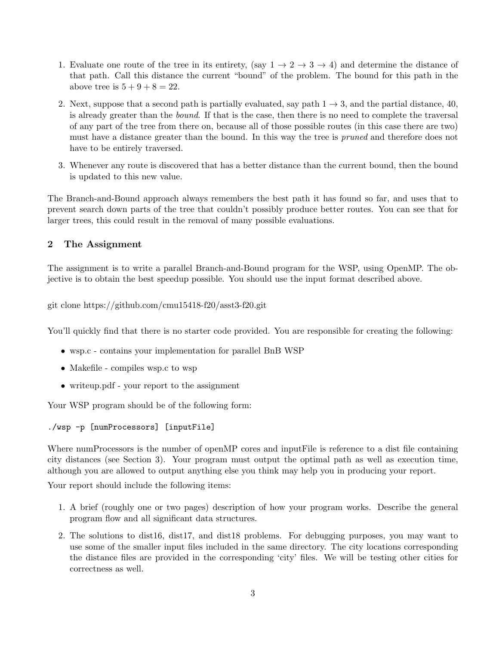- 1. Evaluate one route of the tree in its entirety, (say  $1 \rightarrow 2 \rightarrow 3 \rightarrow 4$ ) and determine the distance of that path. Call this distance the current "bound" of the problem. The bound for this path in the above tree is  $5 + 9 + 8 = 22$ .
- 2. Next, suppose that a second path is partially evaluated, say path  $1 \rightarrow 3$ , and the partial distance, 40, is already greater than the bound. If that is the case, then there is no need to complete the traversal of any part of the tree from there on, because all of those possible routes (in this case there are two) must have a distance greater than the bound. In this way the tree is *pruned* and therefore does not have to be entirely traversed.
- 3. Whenever any route is discovered that has a better distance than the current bound, then the bound is updated to this new value.

The Branch-and-Bound approach always remembers the best path it has found so far, and uses that to prevent search down parts of the tree that couldn't possibly produce better routes. You can see that for larger trees, this could result in the removal of many possible evaluations.

#### 2 The Assignment

The assignment is to write a parallel Branch-and-Bound program for the WSP, using OpenMP. The objective is to obtain the best speedup possible. You should use the input format described above.

git clone https://github.com/cmu15418-f20/asst3-f20.git

You'll quickly find that there is no starter code provided. You are responsible for creating the following:

- wsp.c contains your implementation for parallel BnB WSP
- Makefile compiles wsp.c to wsp
- writeup.pdf your report to the assignment

Your WSP program should be of the following form:

```
./wsp -p [numProcessors] [inputFile]
```
Where numProcessors is the number of openMP cores and inputFile is reference to a dist file containing city distances (see Section 3). Your program must output the optimal path as well as execution time, although you are allowed to output anything else you think may help you in producing your report.

Your report should include the following items:

- 1. A brief (roughly one or two pages) description of how your program works. Describe the general program flow and all significant data structures.
- 2. The solutions to dist16, dist17, and dist18 problems. For debugging purposes, you may want to use some of the smaller input files included in the same directory. The city locations corresponding the distance files are provided in the corresponding 'city' files. We will be testing other cities for correctness as well.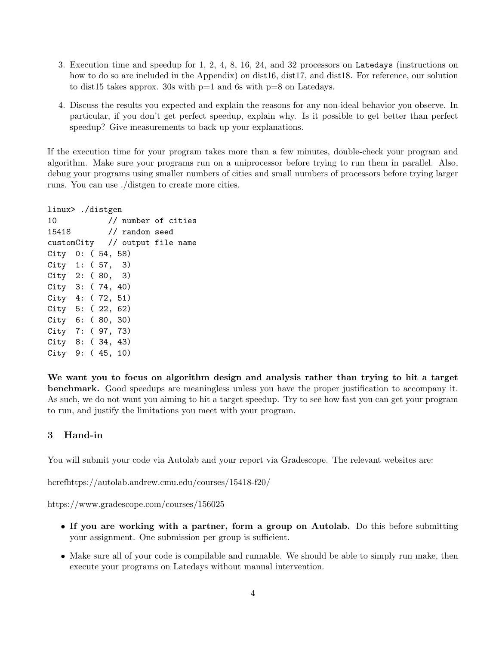- 3. Execution time and speedup for 1, 2, 4, 8, 16, 24, and 32 processors on Latedays (instructions on how to do so are included in the Appendix) on dist16, dist17, and dist18. For reference, our solution to dist15 takes approx. 30s with p=1 and 6s with p=8 on Latedays.
- 4. Discuss the results you expected and explain the reasons for any non-ideal behavior you observe. In particular, if you don't get perfect speedup, explain why. Is it possible to get better than perfect speedup? Give measurements to back up your explanations.

If the execution time for your program takes more than a few minutes, double-check your program and algorithm. Make sure your programs run on a uniprocessor before trying to run them in parallel. Also, debug your programs using smaller numbers of cities and small numbers of processors before trying larger runs. You can use ./distgen to create more cities.

linux> ./distgen 10 // number of cities 15418 // random seed customCity // output file name City 0: ( 54, 58) City 1: ( 57, 3) City 2: ( 80, 3) City 3: ( 74, 40) City 4: ( 72, 51) City 5: ( 22, 62) City 6: ( 80, 30) City 7: ( 97, 73) City 8: ( 34, 43) City 9: ( 45, 10)

We want you to focus on algorithm design and analysis rather than trying to hit a target benchmark. Good speedups are meaningless unless you have the proper justification to accompany it. As such, we do not want you aiming to hit a target speedup. Try to see how fast you can get your program to run, and justify the limitations you meet with your program.

### 3 Hand-in

You will submit your code via Autolab and your report via Gradescope. The relevant websites are:

hcrefhttps://autolab.andrew.cmu.edu/courses/15418-f20/

https://www.gradescope.com/courses/156025

- If you are working with a partner, form a group on Autolab. Do this before submitting your assignment. One submission per group is sufficient.
- Make sure all of your code is compilable and runnable. We should be able to simply run make, then execute your programs on Latedays without manual intervention.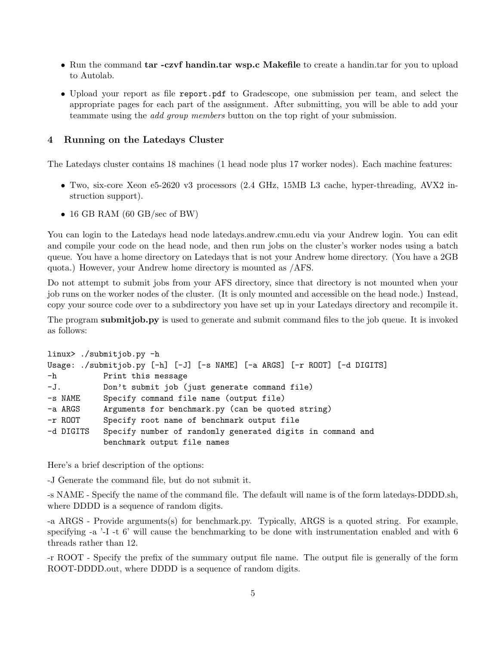- Run the command tar -czvf handin.tar wsp.c Makefile to create a handin.tar for you to upload to Autolab.
- Upload your report as file report.pdf to Gradescope, one submission per team, and select the appropriate pages for each part of the assignment. After submitting, you will be able to add your teammate using the add group members button on the top right of your submission.

#### 4 Running on the Latedays Cluster

The Latedays cluster contains 18 machines (1 head node plus 17 worker nodes). Each machine features:

- Two, six-core Xeon e5-2620 v3 processors (2.4 GHz, 15MB L3 cache, hyper-threading, AVX2 instruction support).
- 16 GB RAM (60 GB/sec of BW)

You can login to the Latedays head node latedays.andrew.cmu.edu via your Andrew login. You can edit and compile your code on the head node, and then run jobs on the cluster's worker nodes using a batch queue. You have a home directory on Latedays that is not your Andrew home directory. (You have a 2GB quota.) However, your Andrew home directory is mounted as /AFS.

Do not attempt to submit jobs from your AFS directory, since that directory is not mounted when your job runs on the worker nodes of the cluster. (It is only mounted and accessible on the head node.) Instead, copy your source code over to a subdirectory you have set up in your Latedays directory and recompile it.

The program **submitjob.py** is used to generate and submit command files to the job queue. It is invoked as follows:

```
linux> ./submitjob.py -h
Usage: ./submitjob.py [-h] [-J] [-s NAME] [-a ARGS] [-r ROOT] [-d DIGITS]
-h Print this message
-J. Don't submit job (just generate command file)
-s NAME Specify command file name (output file)
-a ARGS Arguments for benchmark.py (can be quoted string)
-r ROOT Specify root name of benchmark output file
-d DIGITS Specify number of randomly generated digits in command and
           benchmark output file names
```
Here's a brief description of the options:

-J Generate the command file, but do not submit it.

-s NAME - Specify the name of the command file. The default will name is of the form latedays-DDDD.sh, where DDDD is a sequence of random digits.

-a ARGS - Provide arguments(s) for benchmark.py. Typically, ARGS is a quoted string. For example, specifying  $-a$   $-I$  -t  $6'$  will cause the benchmarking to be done with instrumentation enabled and with 6 threads rather than 12.

-r ROOT - Specify the prefix of the summary output file name. The output file is generally of the form ROOT-DDDD.out, where DDDD is a sequence of random digits.